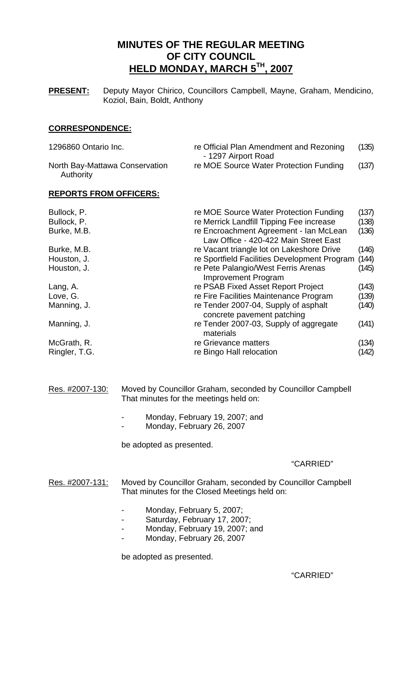# **MINUTES OF THE REGULAR MEETING OF CITY COUNCIL HELD MONDAY, MARCH 5TH, 2007**

**PRESENT:** Deputy Mayor Chirico, Councillors Campbell, Mayne, Graham, Mendicino, Koziol, Bain, Boldt, Anthony

#### **CORRESPONDENCE:**

| 1296860 Ontario Inc.                        | re Official Plan Amendment and Rezoning<br>- 1297 Airport Road | (135) |
|---------------------------------------------|----------------------------------------------------------------|-------|
| North Bay-Mattawa Conservation<br>Authority | re MOE Source Water Protection Funding                         | (137) |

#### **REPORTS FROM OFFICERS:**

| Bullock, P.   | re MOE Source Water Protection Funding                                          | (137) |
|---------------|---------------------------------------------------------------------------------|-------|
| Bullock, P.   | re Merrick Landfill Tipping Fee increase                                        | (138) |
| Burke, M.B.   | re Encroachment Agreement - Ian McLean<br>Law Office - 420-422 Main Street East | (136) |
| Burke, M.B.   | re Vacant triangle lot on Lakeshore Drive                                       | (146) |
| Houston, J.   | re Sportfield Facilities Development Program                                    | (144) |
| Houston, J.   | re Pete Palangio/West Ferris Arenas<br><b>Improvement Program</b>               | (145) |
| Lang, A.      | re PSAB Fixed Asset Report Project                                              | (143) |
| Love, G.      | re Fire Facilities Maintenance Program                                          | (139) |
| Manning, J.   | re Tender 2007-04, Supply of asphalt<br>concrete pavement patching              | (140) |
| Manning, J.   | re Tender 2007-03, Supply of aggregate<br>materials                             | (141) |
| McGrath, R.   | re Grievance matters                                                            | (134) |
| Ringler, T.G. | re Bingo Hall relocation                                                        | (142) |

#### Res. #2007-130: Moved by Councillor Graham, seconded by Councillor Campbell That minutes for the meetings held on:

- Monday, February 19, 2007; and
	- Monday, February 26, 2007
- be adopted as presented.

#### "CARRIED"

Res. #2007-131: Moved by Councillor Graham, seconded by Councillor Campbell That minutes for the Closed Meetings held on:

- Monday, February 5, 2007;
- Saturday, February 17, 2007;
- Monday, February 19, 2007; and
- Monday, February 26, 2007

be adopted as presented.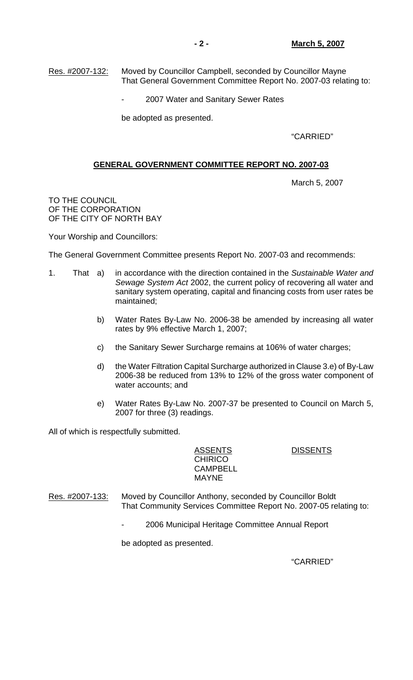Res. #2007-132: Moved by Councillor Campbell, seconded by Councillor Mayne That General Government Committee Report No. 2007-03 relating to:

2007 Water and Sanitary Sewer Rates

be adopted as presented.

"CARRIED"

#### **GENERAL GOVERNMENT COMMITTEE REPORT NO. 2007-03**

March 5, 2007

TO THE COUNCIL OF THE CORPORATION OF THE CITY OF NORTH BAY

Your Worship and Councillors:

The General Government Committee presents Report No. 2007-03 and recommends:

- 1. That a) in accordance with the direction contained in the *Sustainable Water and Sewage System Act* 2002, the current policy of recovering all water and sanitary system operating, capital and financing costs from user rates be maintained;
	- b) Water Rates By-Law No. 2006-38 be amended by increasing all water rates by 9% effective March 1, 2007;
	- c) the Sanitary Sewer Surcharge remains at 106% of water charges;
	- d) the Water Filtration Capital Surcharge authorized in Clause 3.e) of By-Law 2006-38 be reduced from 13% to 12% of the gross water component of water accounts; and
	- e) Water Rates By-Law No. 2007-37 be presented to Council on March 5, 2007 for three (3) readings.

All of which is respectfully submitted.

ASSENTS DISSENTS **CHIRICO**  CAMPBELL MAYNE

Res. #2007-133: Moved by Councillor Anthony, seconded by Councillor Boldt That Community Services Committee Report No. 2007-05 relating to:

2006 Municipal Heritage Committee Annual Report

be adopted as presented.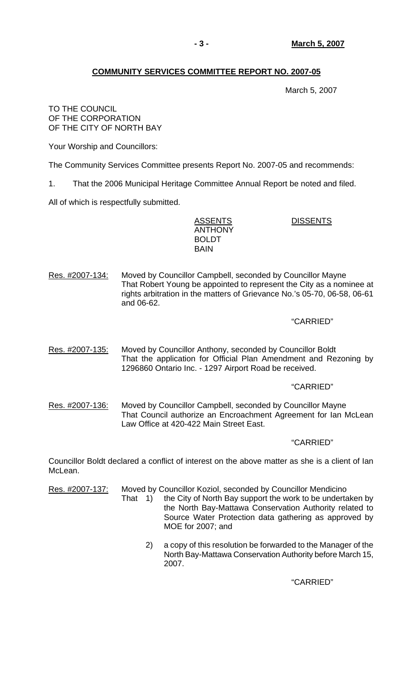# **COMMUNITY SERVICES COMMITTEE REPORT NO. 2007-05**

March 5, 2007

#### TO THE COUNCIL OF THE CORPORATION OF THE CITY OF NORTH BAY

Your Worship and Councillors:

The Community Services Committee presents Report No. 2007-05 and recommends:

1. That the 2006 Municipal Heritage Committee Annual Report be noted and filed.

All of which is respectfully submitted.

ASSENTS DISSENTS ANTHONY BOLDT **BAIN** 

Res. #2007-134: Moved by Councillor Campbell, seconded by Councillor Mayne That Robert Young be appointed to represent the City as a nominee at rights arbitration in the matters of Grievance No.'s 05-70, 06-58, 06-61 and 06-62.

# "CARRIED"

Res. #2007-135: Moved by Councillor Anthony, seconded by Councillor Boldt That the application for Official Plan Amendment and Rezoning by 1296860 Ontario Inc. - 1297 Airport Road be received.

# "CARRIED"

Res. #2007-136: Moved by Councillor Campbell, seconded by Councillor Mayne That Council authorize an Encroachment Agreement for Ian McLean Law Office at 420-422 Main Street East.

# "CARRIED"

Councillor Boldt declared a conflict of interest on the above matter as she is a client of Ian McLean.

Res. #2007-137: Moved by Councillor Koziol, seconded by Councillor Mendicino

- That 1) the City of North Bay support the work to be undertaken by the North Bay-Mattawa Conservation Authority related to Source Water Protection data gathering as approved by MOE for 2007; and
	- 2) a copy of this resolution be forwarded to the Manager of the North Bay-Mattawa Conservation Authority before March 15, 2007.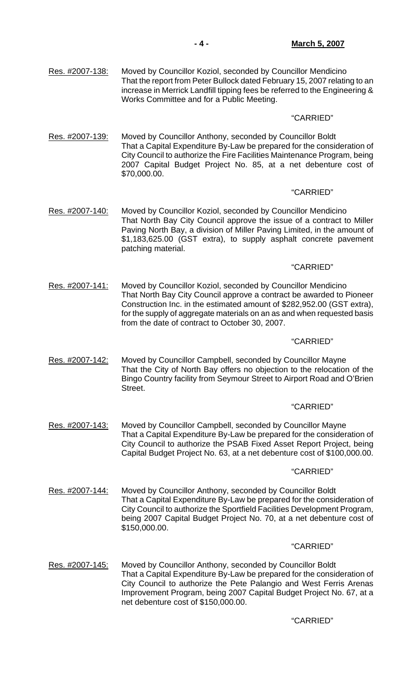#### "CARRIED"

Res. #2007-139: Moved by Councillor Anthony, seconded by Councillor Boldt That a Capital Expenditure By-Law be prepared for the consideration of City Council to authorize the Fire Facilities Maintenance Program, being 2007 Capital Budget Project No. 85, at a net debenture cost of \$70,000.00.

## "CARRIED"

Res. #2007-140: Moved by Councillor Koziol, seconded by Councillor Mendicino That North Bay City Council approve the issue of a contract to Miller Paving North Bay, a division of Miller Paving Limited, in the amount of \$1,183,625.00 (GST extra), to supply asphalt concrete pavement patching material.

## "CARRIED"

Res. #2007-141: Moved by Councillor Koziol, seconded by Councillor Mendicino That North Bay City Council approve a contract be awarded to Pioneer Construction Inc. in the estimated amount of \$282,952.00 (GST extra), for the supply of aggregate materials on an as and when requested basis from the date of contract to October 30, 2007.

## "CARRIED"

Res. #2007-142: Moved by Councillor Campbell, seconded by Councillor Mayne That the City of North Bay offers no objection to the relocation of the Bingo Country facility from Seymour Street to Airport Road and O'Brien Street.

#### "CARRIED"

Res. #2007-143: Moved by Councillor Campbell, seconded by Councillor Mayne That a Capital Expenditure By-Law be prepared for the consideration of City Council to authorize the PSAB Fixed Asset Report Project, being Capital Budget Project No. 63, at a net debenture cost of \$100,000.00.

#### "CARRIED"

Res. #2007-144: Moved by Councillor Anthony, seconded by Councillor Boldt That a Capital Expenditure By-Law be prepared for the consideration of City Council to authorize the Sportfield Facilities Development Program, being 2007 Capital Budget Project No. 70, at a net debenture cost of \$150,000.00.

#### "CARRIED"

Res. #2007-145: Moved by Councillor Anthony, seconded by Councillor Boldt That a Capital Expenditure By-Law be prepared for the consideration of City Council to authorize the Pete Palangio and West Ferris Arenas Improvement Program, being 2007 Capital Budget Project No. 67, at a net debenture cost of \$150,000.00.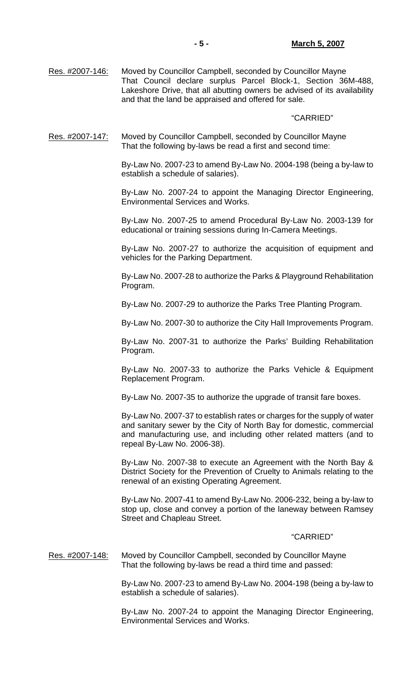Res. #2007-146: Moved by Councillor Campbell, seconded by Councillor Mayne That Council declare surplus Parcel Block-1, Section 36M-488, Lakeshore Drive, that all abutting owners be advised of its availability and that the land be appraised and offered for sale.

#### "CARRIED"

Res. #2007-147: Moved by Councillor Campbell, seconded by Councillor Mayne That the following by-laws be read a first and second time:

> By-Law No. 2007-23 to amend By-Law No. 2004-198 (being a by-law to establish a schedule of salaries).

> By-Law No. 2007-24 to appoint the Managing Director Engineering, Environmental Services and Works.

> By-Law No. 2007-25 to amend Procedural By-Law No. 2003-139 for educational or training sessions during In-Camera Meetings.

> By-Law No. 2007-27 to authorize the acquisition of equipment and vehicles for the Parking Department.

> By-Law No. 2007-28 to authorize the Parks & Playground Rehabilitation Program.

By-Law No. 2007-29 to authorize the Parks Tree Planting Program.

By-Law No. 2007-30 to authorize the City Hall Improvements Program.

 By-Law No. 2007-31 to authorize the Parks' Building Rehabilitation Program.

 By-Law No. 2007-33 to authorize the Parks Vehicle & Equipment Replacement Program.

By-Law No. 2007-35 to authorize the upgrade of transit fare boxes.

 By-Law No. 2007-37 to establish rates or charges for the supply of water and sanitary sewer by the City of North Bay for domestic, commercial and manufacturing use, and including other related matters (and to repeal By-Law No. 2006-38).

 By-Law No. 2007-38 to execute an Agreement with the North Bay & District Society for the Prevention of Cruelty to Animals relating to the renewal of an existing Operating Agreement.

 By-Law No. 2007-41 to amend By-Law No. 2006-232, being a by-law to stop up, close and convey a portion of the laneway between Ramsey Street and Chapleau Street.

#### "CARRIED"

Res. #2007-148: Moved by Councillor Campbell, seconded by Councillor Mayne That the following by-laws be read a third time and passed:

> By-Law No. 2007-23 to amend By-Law No. 2004-198 (being a by-law to establish a schedule of salaries).

> By-Law No. 2007-24 to appoint the Managing Director Engineering, Environmental Services and Works.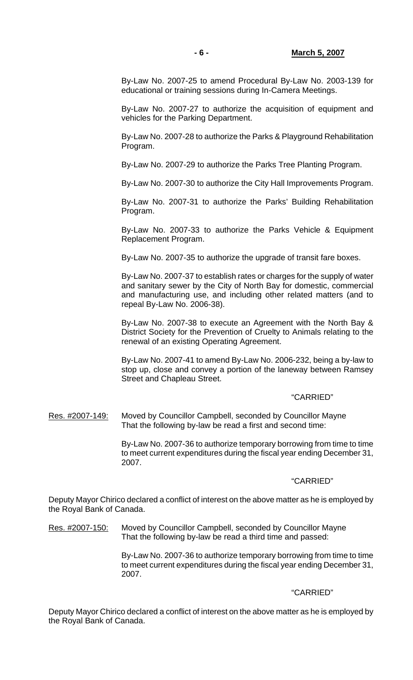By-Law No. 2007-25 to amend Procedural By-Law No. 2003-139 for educational or training sessions during In-Camera Meetings.

 By-Law No. 2007-27 to authorize the acquisition of equipment and vehicles for the Parking Department.

 By-Law No. 2007-28 to authorize the Parks & Playground Rehabilitation Program.

By-Law No. 2007-29 to authorize the Parks Tree Planting Program.

By-Law No. 2007-30 to authorize the City Hall Improvements Program.

 By-Law No. 2007-31 to authorize the Parks' Building Rehabilitation Program.

 By-Law No. 2007-33 to authorize the Parks Vehicle & Equipment Replacement Program.

By-Law No. 2007-35 to authorize the upgrade of transit fare boxes.

 By-Law No. 2007-37 to establish rates or charges for the supply of water and sanitary sewer by the City of North Bay for domestic, commercial and manufacturing use, and including other related matters (and to repeal By-Law No. 2006-38).

 By-Law No. 2007-38 to execute an Agreement with the North Bay & District Society for the Prevention of Cruelty to Animals relating to the renewal of an existing Operating Agreement.

 By-Law No. 2007-41 to amend By-Law No. 2006-232, being a by-law to stop up, close and convey a portion of the laneway between Ramsey Street and Chapleau Street.

#### "CARRIED"

Res. #2007-149: Moved by Councillor Campbell, seconded by Councillor Mayne That the following by-law be read a first and second time:

> By-Law No. 2007-36 to authorize temporary borrowing from time to time to meet current expenditures during the fiscal year ending December 31, 2007.

#### "CARRIED"

Deputy Mayor Chirico declared a conflict of interest on the above matter as he is employed by the Royal Bank of Canada.

Res. #2007-150: Moved by Councillor Campbell, seconded by Councillor Mayne That the following by-law be read a third time and passed:

> By-Law No. 2007-36 to authorize temporary borrowing from time to time to meet current expenditures during the fiscal year ending December 31, 2007.

#### "CARRIED"

Deputy Mayor Chirico declared a conflict of interest on the above matter as he is employed by the Royal Bank of Canada.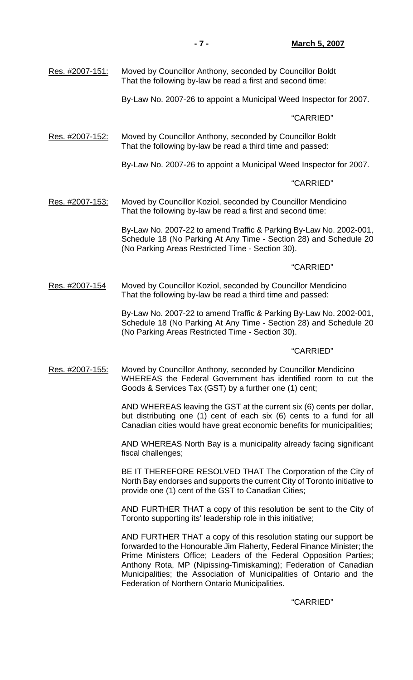By-Law No. 2007-26 to appoint a Municipal Weed Inspector for 2007.

#### "CARRIED"

Res. #2007-152: Moved by Councillor Anthony, seconded by Councillor Boldt That the following by-law be read a third time and passed:

By-Law No. 2007-26 to appoint a Municipal Weed Inspector for 2007.

#### "CARRIED"

Res. #2007-153: Moved by Councillor Koziol, seconded by Councillor Mendicino That the following by-law be read a first and second time:

> By-Law No. 2007-22 to amend Traffic & Parking By-Law No. 2002-001, Schedule 18 (No Parking At Any Time - Section 28) and Schedule 20 (No Parking Areas Restricted Time - Section 30).

## "CARRIED"

Res. #2007-154 Moved by Councillor Koziol, seconded by Councillor Mendicino That the following by-law be read a third time and passed:

> By-Law No. 2007-22 to amend Traffic & Parking By-Law No. 2002-001, Schedule 18 (No Parking At Any Time - Section 28) and Schedule 20 (No Parking Areas Restricted Time - Section 30).

#### "CARRIED"

Res. #2007-155: Moved by Councillor Anthony, seconded by Councillor Mendicino WHEREAS the Federal Government has identified room to cut the Goods & Services Tax (GST) by a further one (1) cent;

> AND WHEREAS leaving the GST at the current six (6) cents per dollar, but distributing one (1) cent of each six (6) cents to a fund for all Canadian cities would have great economic benefits for municipalities;

> AND WHEREAS North Bay is a municipality already facing significant fiscal challenges;

> BE IT THEREFORE RESOLVED THAT The Corporation of the City of North Bay endorses and supports the current City of Toronto initiative to provide one (1) cent of the GST to Canadian Cities;

> AND FURTHER THAT a copy of this resolution be sent to the City of Toronto supporting its' leadership role in this initiative;

> AND FURTHER THAT a copy of this resolution stating our support be forwarded to the Honourable Jim Flaherty, Federal Finance Minister; the Prime Ministers Office; Leaders of the Federal Opposition Parties; Anthony Rota, MP (Nipissing-Timiskaming); Federation of Canadian Municipalities; the Association of Municipalities of Ontario and the Federation of Northern Ontario Municipalities.